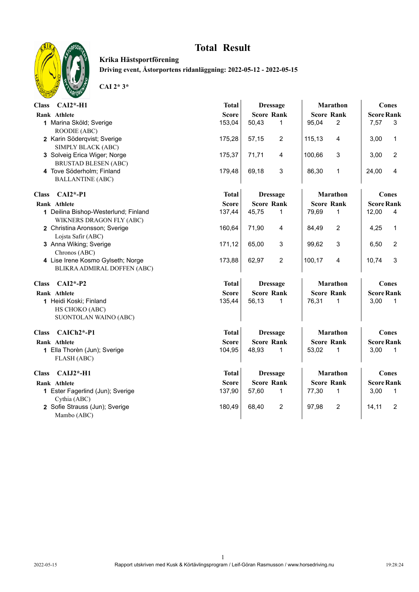

**Krika Hästsportförening Driving event, Åstorportens ridanläggning: 2022-05-12 - 2022-05-15**

| Class CAI2*-H1                                                    | <b>Total</b><br><b>Dressage</b> |                       | Marathon              | <b>Cones</b>      |  |  |
|-------------------------------------------------------------------|---------------------------------|-----------------------|-----------------------|-------------------|--|--|
| Rank Athlete                                                      | <b>Score</b>                    | <b>Score Rank</b>     | <b>Score Rank</b>     | <b>Score Rank</b> |  |  |
| 1 Marina Sköld; Sverige                                           | 153,04                          | 50,43                 | $\overline{2}$        | 7,57              |  |  |
| ROODIE (ABC)                                                      |                                 | $\mathbf{1}$          | 95,04                 | 3                 |  |  |
| 2 Karin Söderqvist; Sverige                                       | 175,28                          | 57,15                 | 115,13                | 3,00              |  |  |
| SIMPLY BLACK (ABC)                                                |                                 | 2                     | 4                     | $\mathbf{1}$      |  |  |
| 3 Solveig Erica Wiger; Norge                                      | 175,37                          | 71,71                 | 3                     | $\overline{c}$    |  |  |
| <b>BRUSTAD BLESEN (ABC)</b>                                       |                                 | 4                     | 100,66                | 3,00              |  |  |
| 4 Tove Söderholm; Finland                                         | 179,48                          | 69,18                 | 86,30                 | 24,00             |  |  |
| <b>BALLANTINE (ABC)</b>                                           |                                 | 3                     | $\mathbf{1}$          | 4                 |  |  |
| $CAI2*-P1$<br><b>Class</b>                                        | <b>Total</b>                    | <b>Dressage</b>       | Marathon              | Cones             |  |  |
| Rank Athlete                                                      | <b>Score</b>                    | <b>Score Rank</b>     | <b>Score Rank</b>     | <b>Score Rank</b> |  |  |
| 1 Deilina Bishop-Westerlund; Finland                              | 137,44                          | 45,75                 | 79,69                 | 12,00             |  |  |
| WIKNERS DRAGON FLY (ABC)                                          |                                 | 1                     | 1                     | 4                 |  |  |
| 2 Christina Aronsson; Sverige                                     | 160,64                          | 71,90                 | $\overline{2}$        | 4,25              |  |  |
| Lojsta Safir (ABC)                                                |                                 | 4                     | 84,49                 | $\mathbf{1}$      |  |  |
| 3 Anna Wiking; Sverige                                            | 171,12                          | 65,00                 | 99,62                 | 6,50              |  |  |
| Chronos (ABC)                                                     |                                 | 3                     | 3                     | $\overline{c}$    |  |  |
| 4 Lise Irene Kosmo Gylseth; Norge                                 | 173,88                          | $\overline{c}$        | 100,17                | 10,74             |  |  |
| BLIKRA ADMIRAL DOFFEN (ABC)                                       |                                 | 62,97                 | 4                     | 3                 |  |  |
| $CAI2*-P2$<br><b>Class</b>                                        | <b>Total</b>                    | <b>Dressage</b>       | Marathon              | <b>Cones</b>      |  |  |
| Rank Athlete                                                      | <b>Score</b>                    | <b>Score Rank</b>     | <b>Score Rank</b>     | <b>Score Rank</b> |  |  |
| 1 Heidi Koski; Finland<br>HS CHOKO (ABC)<br>SUONTOLAN WAINO (ABC) | 135,44                          | 56,13<br>$\mathbf{1}$ | 76,31<br>$\mathbf{1}$ | 3,00<br>1         |  |  |
| CAICh <sub>2</sub> *-P1<br><b>Class</b>                           | <b>Total</b>                    | <b>Dressage</b>       | Marathon              | <b>Cones</b>      |  |  |
| Rank Athlete                                                      | <b>Score</b>                    | <b>Score Rank</b>     | <b>Score Rank</b>     | <b>Score Rank</b> |  |  |
| 1 Ella Thorèn (Jun); Sverige                                      | 104,95                          | 48,93                 | 53,02                 | 3,00              |  |  |
| FLASH (ABC)                                                       |                                 | 1                     | $\mathbf{1}$          | 1                 |  |  |
| $CAIJ2*-H1$<br><b>Class</b>                                       | <b>Total</b>                    | <b>Dressage</b>       | <b>Marathon</b>       | <b>Cones</b>      |  |  |
| Rank Athlete                                                      | <b>Score</b>                    | <b>Score Rank</b>     | <b>Score Rank</b>     | <b>Score Rank</b> |  |  |
| 1 Ester Fagerlind (Jun); Sverige                                  | 137,90                          | 57,60                 | 77,30                 | 3,00              |  |  |
| Cythia (ABC)                                                      |                                 | 1                     | 1                     | 1                 |  |  |
| 2 Sofie Strauss (Jun); Sverige                                    | 180,49                          | 68,40                 | 97,98                 | 14, 11            |  |  |
| Mambo (ABC)                                                       |                                 | 2                     | $\overline{2}$        | 2                 |  |  |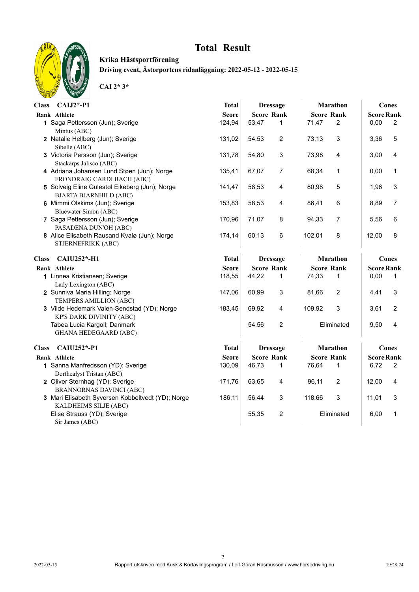

**Krika Hästsportförening Driving event, Åstorportens ridanläggning: 2022-05-12 - 2022-05-15**

| $CAIJ2*-P1$<br><b>Class</b>                                  | <b>Total</b> | <b>Dressage</b>         | <b>Marathon</b>   | <b>Cones</b>           |  |
|--------------------------------------------------------------|--------------|-------------------------|-------------------|------------------------|--|
| Rank Athlete                                                 | <b>Score</b> | <b>Score Rank</b>       | <b>Score Rank</b> | <b>Score Rank</b>      |  |
| 1 Saga Pettersson (Jun); Sverige                             | 124,94       | 53,47                   | $\overline{2}$    | 0,00                   |  |
| Mintus (ABC)                                                 |              | $\mathbf{1}$            | 71,47             | $\overline{2}$         |  |
| 2 Natalie Hellberg (Jun); Sverige                            | 131,02       | 54,53                   | 3                 | 5                      |  |
| Sibelle (ABC)                                                |              | 2                       | 73,13             | 3,36                   |  |
| 3 Victoria Persson (Jun); Sverige                            | 131,78       | 3                       | 73,98             | 3,00                   |  |
| Stackarps Jalisco (ABC)                                      |              | 54,80                   | 4                 | 4                      |  |
| 4 Adriana Johansen Lund Støen (Jun); Norge                   | 135,41       | 67,07                   | 68,34             | $\mathbf{1}$           |  |
| FRONDRAIG CARDI BACH (ABC)                                   |              | 7                       | 1                 | 0,00                   |  |
| 5 Solveig Eline Gulestøl Eikeberg (Jun); Norge               | 141,47       | 58,53                   | 80,98             | 3                      |  |
| <b>BJARTA BJARNHILD (ABC)</b>                                |              | 4                       | 5                 | 1,96                   |  |
| 6 Mimmi Olskims (Jun); Sverige                               | 153,83       | 58,53                   | 86,41             | $\overline{7}$         |  |
| Bluewater Simon (ABC)                                        |              | 4                       | 6                 | 8,89                   |  |
| 7 Saga Pettersson (Jun); Sverige                             | 170,96       | 71,07                   | 94,33             | 5,56                   |  |
| PASADENA DUN'OH (ABC)                                        |              | 8                       | $\overline{7}$    | 6                      |  |
| 8 Alice Elisabeth Rausand Kvalø (Jun); Norge                 | 174,14       | 60,13                   | 102,01            | 8                      |  |
| STJERNEFRIKK (ABC)                                           |              | 6                       | 8                 | 12,00                  |  |
| <b>CAIU252*-H1</b><br><b>Class</b>                           | <b>Total</b> | <b>Dressage</b>         | <b>Marathon</b>   | Cones                  |  |
| Rank Athlete                                                 | <b>Score</b> | <b>Score Rank</b>       | <b>Score Rank</b> | <b>Score Rank</b>      |  |
| 1 Linnea Kristiansen; Sverige                                | 118,55       | 44,22                   | 74,33             | 0,00                   |  |
| Lady Lexington (ABC)                                         |              | $\mathbf{1}$            | 1                 | 1                      |  |
| 2 Sunniva Maria Hilling; Norge                               | 147,06       | 60,99                   | $\overline{c}$    | 3                      |  |
| TEMPERS AMILLION (ABC)                                       |              | 3                       | 81,66             | 4,41                   |  |
| 3 Vilde Hedemark Valen-Sendstad (YD); Norge                  | 183,45       | 69,92                   | 109,92            | $\overline{c}$         |  |
| KP'S DARK DIVINITY (ABC)                                     |              | 4                       | 3                 | 3,61                   |  |
| Tabea Lucia Kargoll; Danmark<br><b>GHANA HEDEGAARD (ABC)</b> |              | $\overline{2}$<br>54,56 | Eliminated        | 9,50<br>$\overline{4}$ |  |
| CAIU252*-P1<br><b>Class</b>                                  | <b>Total</b> | <b>Dressage</b>         | <b>Marathon</b>   | Cones                  |  |
| Rank Athlete                                                 | <b>Score</b> | <b>Score Rank</b>       | <b>Score Rank</b> | <b>Score Rank</b>      |  |
| 1 Sanna Manfredsson (YD); Sverige                            | 130,09       | 46,73                   | 76,64             | 6,72                   |  |
| Dorthealyst Tristan (ABC)                                    |              | $\mathbf 1$             | 1                 | 2                      |  |
| 2 Oliver Sternhag (YD); Sverige                              | 171,76       | 63,65                   | $\overline{c}$    | 12,00                  |  |
| <b>BRANNORNAS DAVINCI (ABC)</b>                              |              | 4                       | 96,11             | 4                      |  |
| 3 Mari Elisabeth Syversen Kobbeltvedt (YD); Norge            | 186,11       | 3                       | 3                 | 3                      |  |
| KALDHEIMS SILJE (ABC)                                        |              | 56,44                   | 118,66            | 11,01                  |  |
| Elise Strauss (YD); Sverige<br>Sir James (ABC)               |              | 55,35<br>2              | Eliminated        | 6,00<br>$\mathbf{1}$   |  |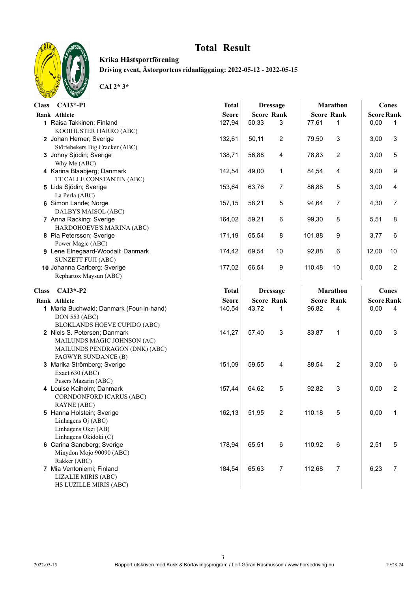

**Krika Hästsportförening Driving event, Åstorportens ridanläggning: 2022-05-12 - 2022-05-15**

| Class CAI3*-P1                                                                                                       | <b>Total</b> | <b>Dressage</b>         | <b>Marathon</b>          | Cones                    |
|----------------------------------------------------------------------------------------------------------------------|--------------|-------------------------|--------------------------|--------------------------|
| Rank Athlete                                                                                                         | <b>Score</b> | <b>Score Rank</b>       | <b>Score Rank</b>        | <b>Score Rank</b>        |
| 1 Raisa Takkinen; Finland                                                                                            | 127,94       | 50,33                   | 77,61                    | 0,00                     |
| KOOIHUSTER HARRO (ABC)                                                                                               |              | 3                       | 1                        | 1                        |
| 2 Johan Herner; Sverige                                                                                              | 132,61       | $\overline{c}$          | 79,50                    | 3                        |
| Störtebekers Big Cracker (ABC)                                                                                       |              | 50,11                   | 3                        | 3,00                     |
| 3 Johny Sjödin; Sverige                                                                                              | 138,71       | 56,88                   | 78,83                    | $\,$ 5 $\,$              |
| Why Me (ABC)                                                                                                         |              | 4                       | $\overline{2}$           | 3,00                     |
| 4 Karina Blaabjerg; Danmark                                                                                          | 142,54       | 49,00                   | 84,54                    | 9                        |
| TT CALLE CONSTANTIN (ABC)                                                                                            |              | 1                       | 4                        | 9,00                     |
| 5 Lida Sjödin; Sverige                                                                                               | 153,64       | 63,76                   | 86,88                    | 4                        |
| La Perla (ABC)                                                                                                       |              | 7                       | $\overline{5}$           | 3,00                     |
| 6 Simon Lande; Norge                                                                                                 | 157,15       | 5                       | $\overline{7}$           | $\overline{7}$           |
| DALBYS MAISOL (ABC)                                                                                                  |              | 58,21                   | 94,64                    | 4,30                     |
| 7 Anna Racking; Sverige                                                                                              | 164,02       | 59,21                   | 8                        | 8                        |
| HARDOHOEVE'S MARINA (ABC)                                                                                            |              | 6                       | 99,30                    | 5,51                     |
| 8 Pia Petersson; Sverige                                                                                             | 171,19       | 8                       | 9                        | 6                        |
| Power Magic (ABC)                                                                                                    |              | 65,54                   | 101,88                   | 3,77                     |
| 9 Lene Elnegaard-Woodall; Danmark                                                                                    | 174,42       | 69,54                   | 92,88                    | 12,00                    |
| <b>SUNZETT FUJI (ABC)</b>                                                                                            |              | 10                      | 6                        | 10                       |
| 10 Johanna Carlberg; Sverige                                                                                         | 177,02       | 66,54                   | 10                       | $\sqrt{2}$               |
| Rephartox Maysun (ABC)                                                                                               |              | 9                       | 110,48                   | 0,00                     |
| $CAI3*-P2$<br><b>Class</b>                                                                                           | <b>Total</b> | <b>Dressage</b>         | <b>Marathon</b>          | Cones                    |
| Rank Athlete                                                                                                         | <b>Score</b> | <b>Score Rank</b>       | <b>Score Rank</b>        | <b>Score Rank</b>        |
| 1 Maria Buchwald; Danmark (Four-in-hand)<br><b>DON 553 (ABC)</b><br>BLOKLANDS HOEVE CUPIDO (ABC)                     | 140,54       | 43,72<br>1              | 96,82<br>4               | 0,00<br>4                |
| 2 Niels S. Petersen; Danmark<br>MAILUNDS MAGIC JOHNSON (AC)<br>MAILUNDS PENDRAGON (DNK) (ABC)<br>FAGWYR SUNDANCE (B) | 141,27       | 57,40<br>3              | 83,87<br>$\mathbf{1}$    | $\mathsf 3$<br>0,00      |
| 3 Marika Strömberg; Sverige                                                                                          | 151,09       | 59,55                   | 88,54                    | 6                        |
| Exact 630 (ABC)                                                                                                      |              | 4                       | $\overline{2}$           | 3,00                     |
| Pusers Mazarin (ABC)<br>4 Louise Kaiholm; Danmark<br>CORNDONFORD ICARUS (ABC)<br>RAYNE (ABC)                         | 157,44       | 5<br>64,62              | 3<br>92,82               | $\boldsymbol{2}$<br>0,00 |
| 5 Hanna Holstein; Sverige<br>Linhagens Oj (ABC)<br>Linhagens Okej (AB)<br>Linhagens Okidoki (C)                      | 162,13       | 51,95<br>2              | 110,18<br>5              | 0,00                     |
| 6 Carina Sandberg; Sverige<br>Minydon Mojo 90090 (ABC)<br>Rakker (ABC)                                               | 178,94       | 65,51<br>6              | 110,92<br>6              | 2,51<br>$\,$ 5 $\,$      |
| 7 Mia Ventoniemi; Finland<br>LIZALIE MIRIS (ABC)<br>HS LUZILLE MIRIS (ABC)                                           | 184,54       | 65,63<br>$\overline{7}$ | 112,68<br>$\overline{7}$ | $\boldsymbol{7}$<br>6,23 |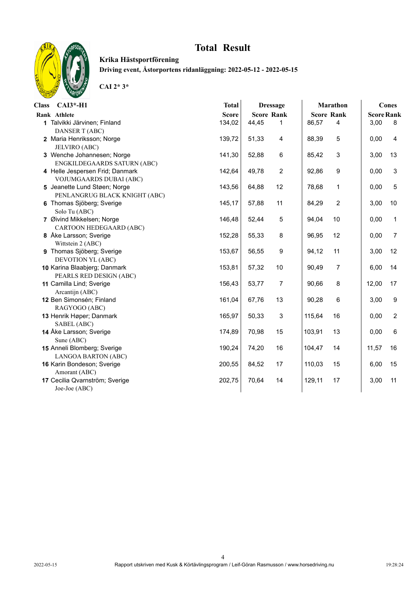

**Krika Hästsportförening Driving event, Åstorportens ridanläggning: 2022-05-12 - 2022-05-15**

| <b>Class</b><br>$CAI3*-H1$      | <b>Total</b> |       | <b>Dressage</b>   |        | <b>Marathon</b>   |                   | <b>Cones</b>     |
|---------------------------------|--------------|-------|-------------------|--------|-------------------|-------------------|------------------|
| Rank Athlete                    | <b>Score</b> |       | <b>Score Rank</b> |        | <b>Score Rank</b> | <b>Score Rank</b> |                  |
| 1 Talvikki Järvinen; Finland    | 134,02       | 44,45 | 1                 | 86,57  | $\overline{4}$    | 3,00              | 8                |
| <b>DANSER T (ABC)</b>           |              |       |                   |        |                   |                   |                  |
| 2 Maria Henriksson; Norge       | 139,72       | 51,33 | 4                 | 88,39  | 5                 | 0,00              | 4                |
| JELVIRO (ABC)                   |              |       |                   |        |                   |                   |                  |
| 3 Wenche Johannesen; Norge      | 141,30       | 52,88 | 6                 | 85,42  | 3                 | 3,00              | 13               |
| ENGKILDEGAARDS SATURN (ABC)     |              |       |                   |        |                   |                   |                  |
| 4 Helle Jespersen Frid; Danmark | 142,64       | 49,78 | $\overline{c}$    | 92,86  | 9                 | 0,00              | 3                |
| VOJUMGAARDS DUBAI (ABC)         |              |       |                   |        |                   |                   |                  |
| 5 Jeanette Lund Støen; Norge    | 143,56       | 64,88 | 12                | 78,68  | $\mathbf{1}$      | 0,00              | 5                |
| PENLANGRUG BLACK KNIGHT (ABC)   |              |       |                   |        |                   |                   |                  |
| 6 Thomas Sjöberg; Sverige       | 145,17       | 57,88 | 11                | 84,29  | $\overline{c}$    | 3,00              | 10               |
| Solo Tu (ABC)                   |              |       |                   |        |                   |                   |                  |
| 7 Øivind Mikkelsen; Norge       | 146,48       | 52,44 | $\mathbf 5$       | 94,04  | 10                | 0,00              | $\mathbf{1}$     |
| CARTOON HEDEGAARD (ABC)         |              |       |                   |        |                   |                   |                  |
| 8 Åke Larsson; Sverige          | 152,28       | 55,33 | 8                 | 96,95  | 12                | 0,00              | $\overline{7}$   |
| Wittstein 2 (ABC)               |              |       |                   |        |                   |                   |                  |
| 9 Thomas Sjöberg; Sverige       | 153,67       | 56,55 | 9                 | 94,12  | 11                | 3,00              | 12               |
| DEVOTION YL (ABC)               |              |       |                   |        |                   |                   |                  |
| 10 Karina Blaabjerg; Danmark    | 153,81       | 57,32 | 10                | 90,49  | $\overline{7}$    | 6,00              | 14               |
| PEARLS RED DESIGN (ABC)         |              |       |                   |        |                   |                   |                  |
| 11 Camilla Lind; Sverige        | 156,43       | 53,77 | $\overline{7}$    | 90,66  | 8                 | 12,00             | 17               |
| Arcantijn (ABC)                 |              |       |                   |        |                   |                   |                  |
| 12 Ben Simonsén; Finland        | 161,04       | 67,76 | 13                | 90,28  | 6                 | 3,00              | $\boldsymbol{9}$ |
| RAGYOGO (ABC)                   |              |       |                   |        |                   |                   |                  |
| 13 Henrik Høper; Danmark        | 165,97       | 50,33 | $\mathsf 3$       | 115,64 | 16                | 0,00              | $\overline{c}$   |
| SABEL (ABC)                     |              |       |                   |        |                   |                   |                  |
| 14 Åke Larsson; Sverige         | 174,89       | 70,98 | 15                | 103,91 | 13                | 0,00              | 6                |
| Sune (ABC)                      |              |       |                   |        |                   |                   |                  |
| 15 Anneli Blomberg; Sverige     | 190,24       | 74,20 | 16                | 104,47 | 14                | 11,57             | 16               |
| LANGOA BARTON (ABC)             |              |       |                   |        |                   |                   |                  |
| 16 Karin Bondeson; Sverige      | 200,55       | 84,52 | 17                | 110,03 | 15                | 6,00              | 15               |
| Amorant (ABC)                   |              |       |                   |        |                   |                   |                  |
| 17 Cecilia Qvarnström; Sverige  | 202,75       | 70,64 | 14                | 129,11 | 17                | 3,00              | 11               |
| Joe-Joe (ABC)                   |              |       |                   |        |                   |                   |                  |